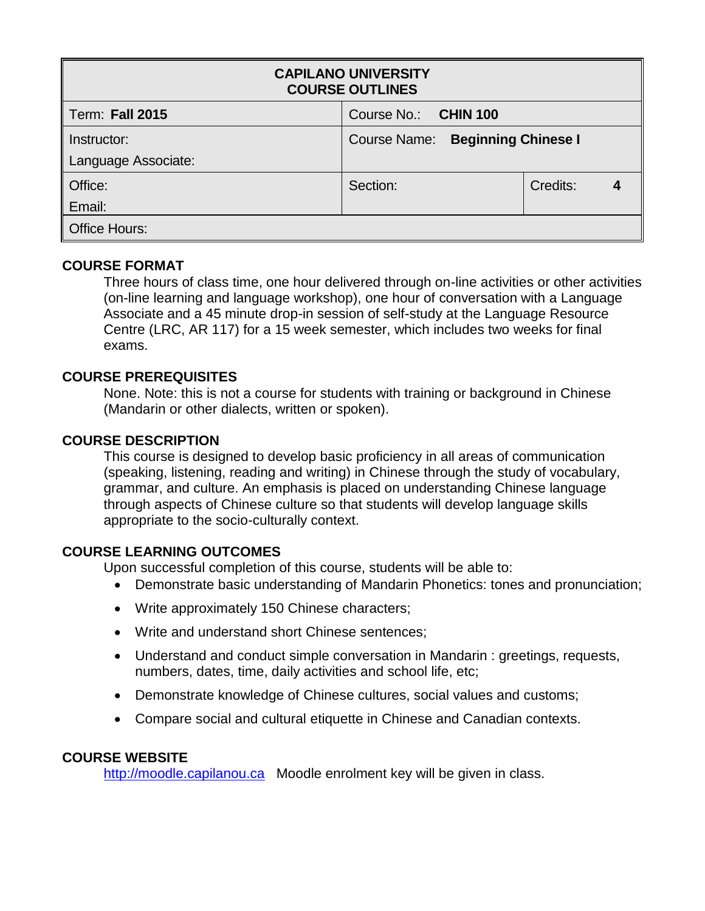| <b>CAPILANO UNIVERSITY</b><br><b>COURSE OUTLINES</b> |                                  |          |  |  |  |  |
|------------------------------------------------------|----------------------------------|----------|--|--|--|--|
| <b>Term: Fall 2015</b>                               | Course No.: CHIN 100             |          |  |  |  |  |
| Instructor:                                          | Course Name: Beginning Chinese I |          |  |  |  |  |
| Language Associate:                                  |                                  |          |  |  |  |  |
| Office:                                              | Section:                         | Credits: |  |  |  |  |
| Email:                                               |                                  |          |  |  |  |  |
| <b>Office Hours:</b>                                 |                                  |          |  |  |  |  |

# **COURSE FORMAT**

Three hours of class time, one hour delivered through on-line activities or other activities (on-line learning and language workshop), one hour of conversation with a Language Associate and a 45 minute drop-in session of self-study at the Language Resource Centre (LRC, AR 117) for a 15 week semester, which includes two weeks for final exams.

# **COURSE PREREQUISITES**

None. Note: this is not a course for students with training or background in Chinese (Mandarin or other dialects, written or spoken).

### **COURSE DESCRIPTION**

This course is designed to develop basic proficiency in all areas of communication (speaking, listening, reading and writing) in Chinese through the study of vocabulary, grammar, and culture. An emphasis is placed on understanding Chinese language through aspects of Chinese culture so that students will develop language skills appropriate to the socio-culturally context.

# **COURSE LEARNING OUTCOMES**

Upon successful completion of this course, students will be able to:

- Demonstrate basic understanding of Mandarin Phonetics: tones and pronunciation;
- Write approximately 150 Chinese characters;
- Write and understand short Chinese sentences;
- Understand and conduct simple conversation in Mandarin : greetings, requests, numbers, dates, time, daily activities and school life, etc;
- Demonstrate knowledge of Chinese cultures, social values and customs;
- Compare social and cultural etiquette in Chinese and Canadian contexts.

# **COURSE WEBSITE**

[http://moodle.capilanou.ca](http://moodle.capilanou.ca/) Moodle enrolment key will be given in class.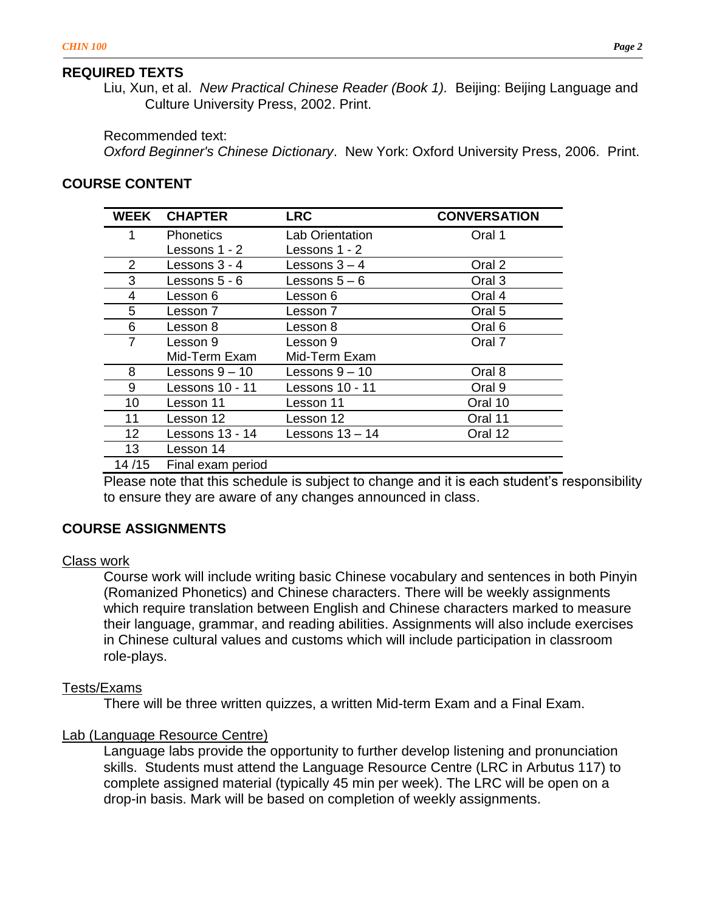#### **REQUIRED TEXTS**

Liu, Xun, et al. *New Practical Chinese Reader (Book 1).* Beijing: Beijing Language and Culture University Press, 2002. Print.

Recommended text:

*Oxford Beginner's Chinese Dictionary*. New York: Oxford University Press, 2006. Print.

### **COURSE CONTENT**

| <b>WEEK</b>    | <b>CHAPTER</b>    | <b>LRC</b>             | <b>CONVERSATION</b> |
|----------------|-------------------|------------------------|---------------------|
| 1              | <b>Phonetics</b>  | <b>Lab Orientation</b> | Oral 1              |
|                | Lessons 1 - 2     | Lessons 1 - 2          |                     |
| $\overline{2}$ | Lessons 3 - 4     | Lessons $3 - 4$        | Oral 2              |
| 3              | Lessons 5 - 6     | Lessons $5-6$          | Oral 3              |
| 4              | Lesson 6          | Lesson 6               | Oral 4              |
| 5              | Lesson 7          | Lesson 7               | Oral 5              |
| 6              | Lesson 8          | Lesson 8               | Oral <sub>6</sub>   |
| 7              | Lesson 9          | Lesson 9               | Oral 7              |
|                | Mid-Term Exam     | Mid-Term Exam          |                     |
| 8              | Lessons 9 – 10    | Lessons $9 - 10$       | Oral 8              |
| 9              | Lessons 10 - 11   | Lessons 10 - 11        | Oral 9              |
| 10             | Lesson 11         | Lesson 11              | Oral 10             |
| 11             | Lesson 12         | Lesson 12              | Oral 11             |
| 12             | Lessons 13 - 14   | Lessons $13 - 14$      | Oral 12             |
| 13             | Lesson 14         |                        |                     |
| 14/15          | Final exam period |                        |                     |

Please note that this schedule is subject to change and it is each student's responsibility to ensure they are aware of any changes announced in class.

### **COURSE ASSIGNMENTS**

#### Class work

Course work will include writing basic Chinese vocabulary and sentences in both Pinyin (Romanized Phonetics) and Chinese characters. There will be weekly assignments which require translation between English and Chinese characters marked to measure their language, grammar, and reading abilities. Assignments will also include exercises in Chinese cultural values and customs which will include participation in classroom role-plays.

#### Tests/Exams

There will be three written quizzes, a written Mid-term Exam and a Final Exam.

#### Lab (Language Resource Centre)

Language labs provide the opportunity to further develop listening and pronunciation skills. Students must attend the Language Resource Centre (LRC in Arbutus 117) to complete assigned material (typically 45 min per week). The LRC will be open on a drop-in basis. Mark will be based on completion of weekly assignments.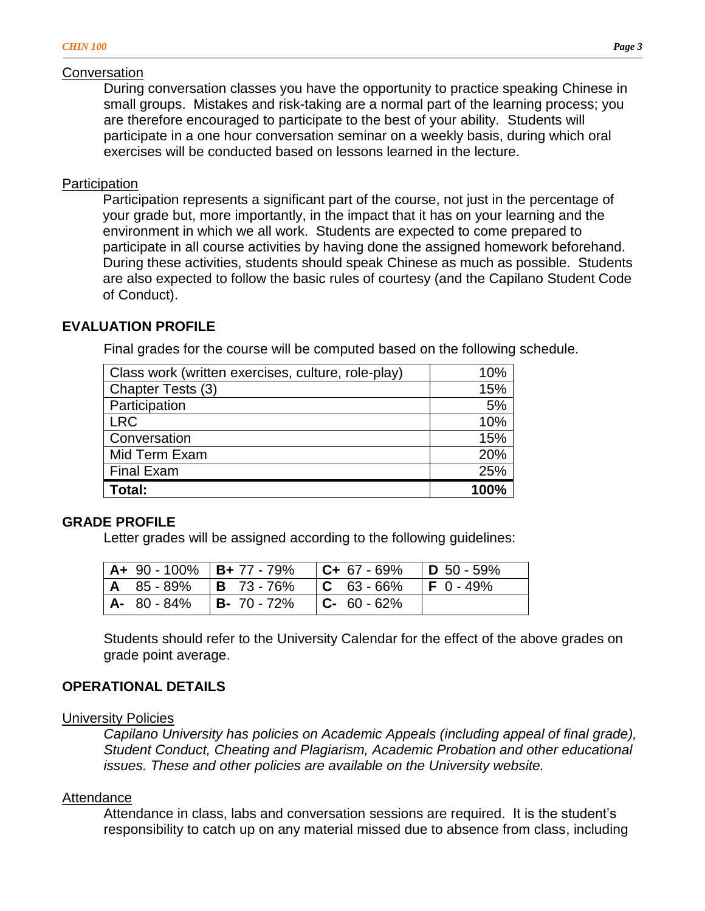### Conversation

During conversation classes you have the opportunity to practice speaking Chinese in small groups. Mistakes and risk-taking are a normal part of the learning process; you are therefore encouraged to participate to the best of your ability. Students will participate in a one hour conversation seminar on a weekly basis, during which oral exercises will be conducted based on lessons learned in the lecture.

# **Participation**

Participation represents a significant part of the course, not just in the percentage of your grade but, more importantly, in the impact that it has on your learning and the environment in which we all work. Students are expected to come prepared to participate in all course activities by having done the assigned homework beforehand. During these activities, students should speak Chinese as much as possible. Students are also expected to follow the basic rules of courtesy (and the Capilano Student Code of Conduct).

# **EVALUATION PROFILE**

Final grades for the course will be computed based on the following schedule.

| Class work (written exercises, culture, role-play) | 10%  |
|----------------------------------------------------|------|
| Chapter Tests (3)                                  | 15%  |
| Participation                                      | 5%   |
| <b>LRC</b>                                         | 10%  |
| Conversation                                       | 15%  |
| Mid Term Exam                                      | 20%  |
| <b>Final Exam</b>                                  | 25%  |
| Total:                                             | 100% |

# **GRADE PROFILE**

Letter grades will be assigned according to the following guidelines:

|  | <b>A+</b> 90 - 100%   <b>B+</b> 77 - 79%   <b>C+</b> 67 - 69%   <b>D</b> 50 - 59% |                   |  |
|--|-----------------------------------------------------------------------------------|-------------------|--|
|  | <b>A</b> 85 - 89%   <b>B</b> 73 - 76%   <b>C</b> 63 - 66%   <b>F</b> 0 - 49%      |                   |  |
|  | <b>A-</b> 80 - 84% <b>B-</b> 70 - 72%                                             | $ C - 60 - 62\% $ |  |

Students should refer to the University Calendar for the effect of the above grades on grade point average.

# **OPERATIONAL DETAILS**

# University Policies

*Capilano University has policies on Academic Appeals (including appeal of final grade), Student Conduct, Cheating and Plagiarism, Academic Probation and other educational issues. These and other policies are available on the University website.* 

# Attendance

Attendance in class, labs and conversation sessions are required. It is the student's responsibility to catch up on any material missed due to absence from class, including